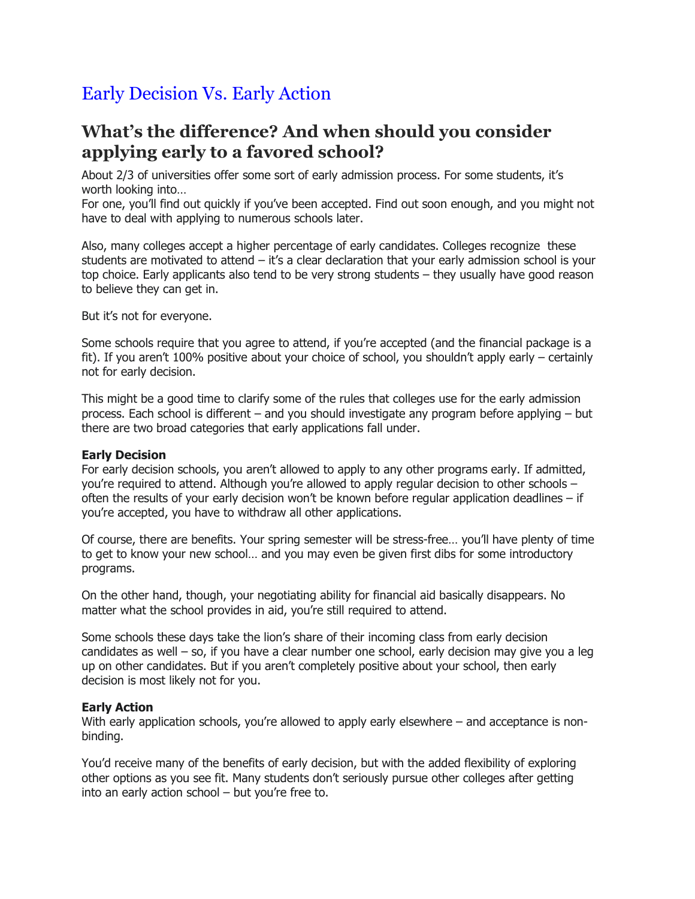## Early Decision Vs. Early Action

## **What's the difference? And when should you consider applying early to a favored school?**

About 2/3 of universities offer some sort of early admission process. For some students, it's worth looking into…

For one, you'll find out quickly if you've been accepted. Find out soon enough, and you might not have to deal with applying to numerous schools later.

Also, many colleges accept a higher percentage of early candidates. Colleges recognize these students are motivated to attend – it's a clear declaration that your early admission school is your top choice. Early applicants also tend to be very strong students – they usually have good reason to believe they can get in.

But it's not for everyone.

Some schools require that you agree to attend, if you're accepted (and the financial package is a fit). If you aren't 100% positive about your choice of school, you shouldn't apply early – certainly not for early decision.

This might be a good time to clarify some of the rules that colleges use for the early admission process. Each school is different – and you should investigate any program before applying – but there are two broad categories that early applications fall under.

## **Early Decision**

For early decision schools, you aren't allowed to apply to any other programs early. If admitted, you're required to attend. Although you're allowed to apply regular decision to other schools – often the results of your early decision won't be known before regular application deadlines  $-$  if you're accepted, you have to withdraw all other applications.

Of course, there are benefits. Your spring semester will be stress-free… you'll have plenty of time to get to know your new school… and you may even be given first dibs for some introductory programs.

On the other hand, though, your negotiating ability for financial aid basically disappears. No matter what the school provides in aid, you're still required to attend.

Some schools these days take the lion's share of their incoming class from early decision candidates as well – so, if you have a clear number one school, early decision may give you a leg up on other candidates. But if you aren't completely positive about your school, then early decision is most likely not for you.

## **Early Action**

With early application schools, you're allowed to apply early elsewhere – and acceptance is nonbinding.

You'd receive many of the benefits of early decision, but with the added flexibility of exploring other options as you see fit. Many students don't seriously pursue other colleges after getting into an early action school – but you're free to.